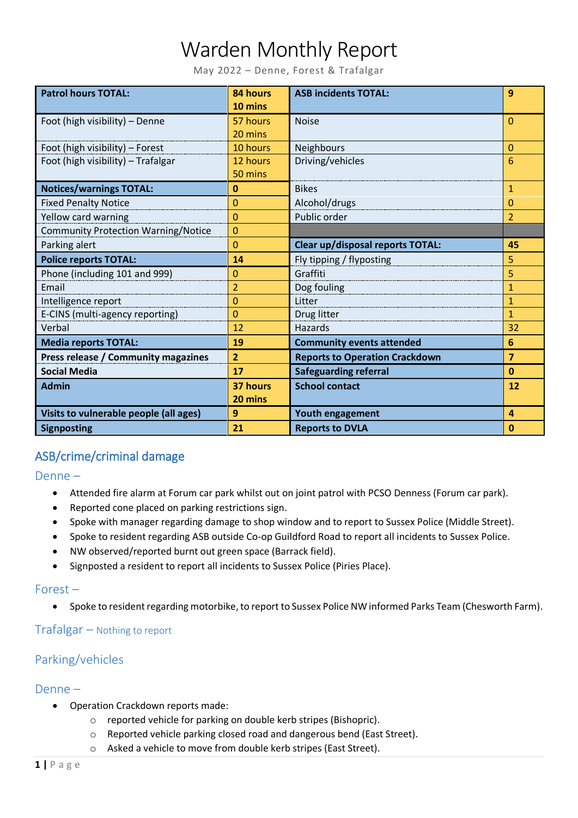# Warden Monthly Report

May 2022 – Denne, Forest & Trafalgar

| <b>Patrol hours TOTAL:</b>                 | 84 hours<br>10 mins | <b>ASB incidents TOTAL:</b>           | 9              |
|--------------------------------------------|---------------------|---------------------------------------|----------------|
| Foot (high visibility) - Denne             | 57 hours            | <b>Noise</b>                          | $\mathbf{0}$   |
|                                            | 20 mins             |                                       |                |
| Foot (high visibility) - Forest            | 10 hours            | Neighbours                            | 0              |
| Foot (high visibility) - Trafalgar         | 12 hours            | Driving/vehicles                      | 6              |
|                                            | 50 mins             |                                       |                |
| <b>Notices/warnings TOTAL:</b>             | $\mathbf{0}$        | <b>Bikes</b>                          | $\mathbf{1}$   |
| <b>Fixed Penalty Notice</b>                | 0                   | Alcohol/drugs                         | 0              |
| Yellow card warning                        | 0                   | Public order                          | $\overline{2}$ |
| <b>Community Protection Warning/Notice</b> | $\overline{0}$      |                                       |                |
| Parking alert                              | 0                   | Clear up/disposal reports TOTAL:      | 45             |
| <b>Police reports TOTAL:</b>               | 14                  | Fly tipping / flyposting              | 5              |
| Phone (including 101 and 999)              | 0                   | Graffiti                              | 5              |
| Email                                      | $\overline{2}$      | Dog fouling                           | $\mathbf{1}$   |
| Intelligence report                        | $\overline{0}$      | Litter                                | $\mathbf{1}$   |
| E-CINS (multi-agency reporting)            | 0                   | Drug litter                           | $\mathbf{1}$   |
| Verbal                                     | 12                  | Hazards                               | 32             |
| <b>Media reports TOTAL:</b>                | 19                  | <b>Community events attended</b>      | 6              |
| Press release / Community magazines        | $\overline{2}$      | <b>Reports to Operation Crackdown</b> | $\overline{7}$ |
| <b>Social Media</b>                        | 17                  | <b>Safeguarding referral</b>          | $\mathbf{0}$   |
| <b>Admin</b>                               | 37 hours            | <b>School contact</b>                 | 12             |
|                                            | 20 mins             |                                       |                |
| Visits to vulnerable people (all ages)     | 9                   | Youth engagement                      | $\overline{a}$ |
| <b>Signposting</b>                         | 21                  | <b>Reports to DVLA</b>                | $\bf{0}$       |

# ASB/crime/criminal damage

Denne –

- Attended fire alarm at Forum car park whilst out on joint patrol with PCSO Denness (Forum car park).
- Reported cone placed on parking restrictions sign.
- Spoke with manager regarding damage to shop window and to report to Sussex Police (Middle Street).
- Spoke to resident regarding ASB outside Co-op Guildford Road to report all incidents to Sussex Police.
- NW observed/reported burnt out green space (Barrack field).
- Signposted a resident to report all incidents to Sussex Police (Piries Place).

#### Forest –

Spoke to resident regarding motorbike, to report to Sussex Police NW informed Parks Team (Chesworth Farm).

#### Trafalgar – Nothing to report

# Parking/vehicles

#### Denne –

- Operation Crackdown reports made:
	- o reported vehicle for parking on double kerb stripes (Bishopric).
	- o Reported vehicle parking closed road and dangerous bend (East Street).
	- o Asked a vehicle to move from double kerb stripes (East Street).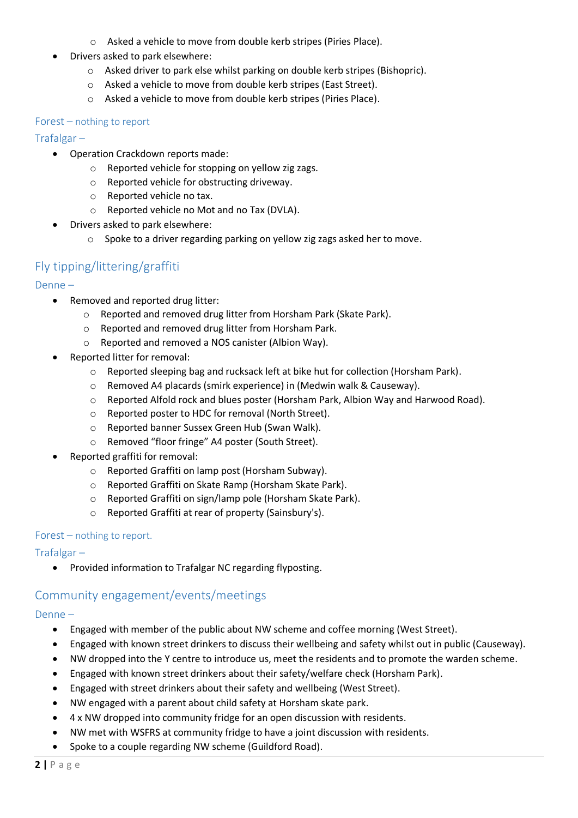- o Asked a vehicle to move from double kerb stripes (Piries Place).
- Drivers asked to park elsewhere:
	- o Asked driver to park else whilst parking on double kerb stripes (Bishopric).
	- o Asked a vehicle to move from double kerb stripes (East Street).
	- o Asked a vehicle to move from double kerb stripes (Piries Place).

#### Forest – nothing to report

#### Trafalgar –

- Operation Crackdown reports made:
	- o Reported vehicle for stopping on yellow zig zags.
	- o Reported vehicle for obstructing driveway.
	- o Reported vehicle no tax.
	- o Reported vehicle no Mot and no Tax (DVLA).
- Drivers asked to park elsewhere:
	- o Spoke to a driver regarding parking on yellow zig zags asked her to move.

# Fly tipping/littering/graffiti

#### Denne –

- Removed and reported drug litter:
	- o Reported and removed drug litter from Horsham Park (Skate Park).
	- o Reported and removed drug litter from Horsham Park.
	- o Reported and removed a NOS canister (Albion Way).
- Reported litter for removal:
	- o Reported sleeping bag and rucksack left at bike hut for collection (Horsham Park).
	- o Removed A4 placards (smirk experience) in (Medwin walk & Causeway).
	- o Reported Alfold rock and blues poster (Horsham Park, Albion Way and Harwood Road).
	- o Reported poster to HDC for removal (North Street).
	- o Reported banner Sussex Green Hub (Swan Walk).
	- o Removed "floor fringe" A4 poster (South Street).
- Reported graffiti for removal:
	- o Reported Graffiti on lamp post (Horsham Subway).
	- o Reported Graffiti on Skate Ramp (Horsham Skate Park).
	- o Reported Graffiti on sign/lamp pole (Horsham Skate Park).
	- o Reported Graffiti at rear of property (Sainsbury's).

#### Forest – nothing to report.

#### Trafalgar –

Provided information to Trafalgar NC regarding flyposting.

# Community engagement/events/meetings

#### Denne –

- Engaged with member of the public about NW scheme and coffee morning (West Street).
- Engaged with known street drinkers to discuss their wellbeing and safety whilst out in public (Causeway).
- NW dropped into the Y centre to introduce us, meet the residents and to promote the warden scheme.
- Engaged with known street drinkers about their safety/welfare check (Horsham Park).
- Engaged with street drinkers about their safety and wellbeing (West Street).
- NW engaged with a parent about child safety at Horsham skate park.
- 4 x NW dropped into community fridge for an open discussion with residents.
- NW met with WSFRS at community fridge to have a joint discussion with residents.
- Spoke to a couple regarding NW scheme (Guildford Road).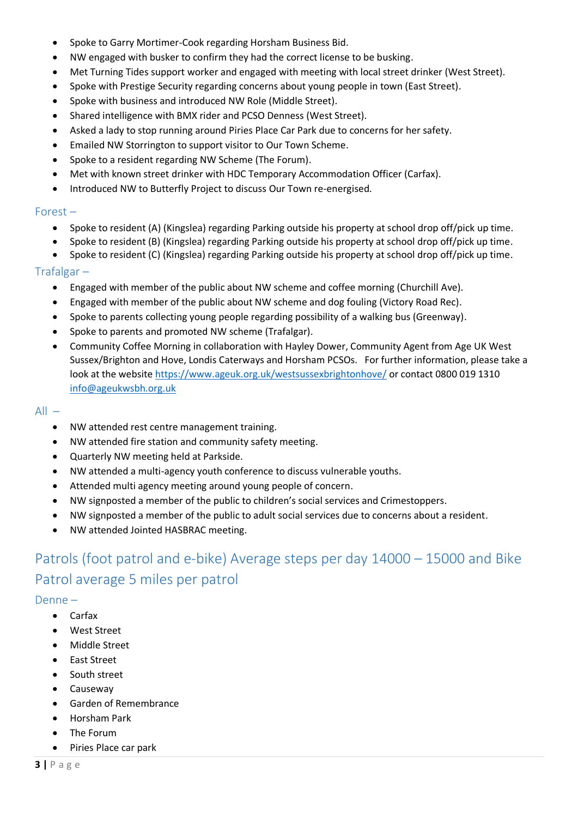- Spoke to Garry Mortimer-Cook regarding Horsham Business Bid.
- NW engaged with busker to confirm they had the correct license to be busking.
- Met Turning Tides support worker and engaged with meeting with local street drinker (West Street).
- Spoke with Prestige Security regarding concerns about young people in town (East Street).
- Spoke with business and introduced NW Role (Middle Street).
- Shared intelligence with BMX rider and PCSO Denness (West Street).
- Asked a lady to stop running around Piries Place Car Park due to concerns for her safety.
- Emailed NW Storrington to support visitor to Our Town Scheme.
- Spoke to a resident regarding NW Scheme (The Forum).
- Met with known street drinker with HDC Temporary Accommodation Officer (Carfax).
- Introduced NW to Butterfly Project to discuss Our Town re-energised.

#### Forest –

- Spoke to resident (A) (Kingslea) regarding Parking outside his property at school drop off/pick up time.
- Spoke to resident (B) (Kingslea) regarding Parking outside his property at school drop off/pick up time.
- Spoke to resident (C) (Kingslea) regarding Parking outside his property at school drop off/pick up time.

#### Trafalgar –

- Engaged with member of the public about NW scheme and coffee morning (Churchill Ave).
- Engaged with member of the public about NW scheme and dog fouling (Victory Road Rec).
- Spoke to parents collecting young people regarding possibility of a walking bus (Greenway).
- Spoke to parents and promoted NW scheme (Trafalgar).
- Community Coffee Morning in collaboration with Hayley Dower, Community Agent from Age UK West Sussex/Brighton and Hove, Londis Caterways and Horsham PCSOs. For further information, please take a look at the website<https://www.ageuk.org.uk/westsussexbrightonhove/> or contact 0800 019 1310 [info@ageukwsbh.org.uk](mailto:info@ageukwsbh.org.uk)

#### $All -$

- NW attended rest centre management training.
- NW attended fire station and community safety meeting.
- Quarterly NW meeting held at Parkside.
- NW attended a multi-agency youth conference to discuss vulnerable youths.
- Attended multi agency meeting around young people of concern.
- NW signposted a member of the public to children's social services and Crimestoppers.
- NW signposted a member of the public to adult social services due to concerns about a resident.
- NW attended Jointed HASBRAC meeting.

# Patrols (foot patrol and e-bike) Average steps per day 14000 – 15000 and Bike Patrol average 5 miles per patrol

#### Denne –

- Carfax
- West Street
- Middle Street
- East Street
- South street
- Causeway
- Garden of Remembrance
- Horsham Park
- The Forum
- Piries Place car park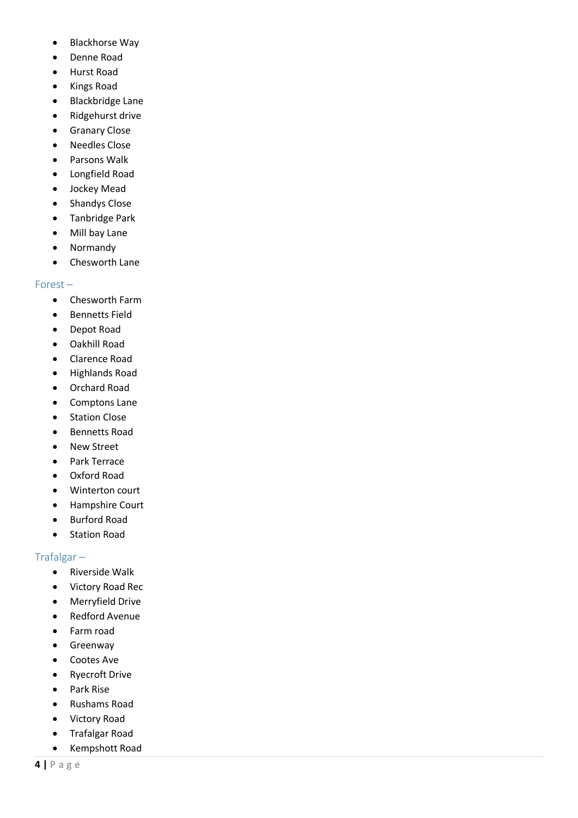- Blackhorse Way
- Denne Road
- Hurst Road
- Kings Road
- Blackbridge Lane
- Ridgehurst drive
- **•** Granary Close
- Needles Close
- Parsons Walk
- Longfield Road
- Jockey Mead
- Shandys Close
- Tanbridge Park
- Mill bay Lane
- Normandy
- Chesworth Lane

#### Forest –

- Chesworth Farm
- **•** Bennetts Field
- Depot Road
- Oakhill Road
- Clarence Road
- Highlands Road
- Orchard Road
- Comptons Lane
- Station Close
- Bennetts Road
- New Street
- Park Terrace
- Oxford Road
- Winterton court
- Hampshire Court
- Burford Road
- Station Road

#### Trafalgar –

- Riverside Walk
- Victory Road Rec
- Merryfield Drive
- Redford Avenue
- Farm road
- **•** Greenway
- Cootes Ave
- Ryecroft Drive
- Park Rise
- Rushams Road
- Victory Road
- Trafalgar Road
- Kempshott Road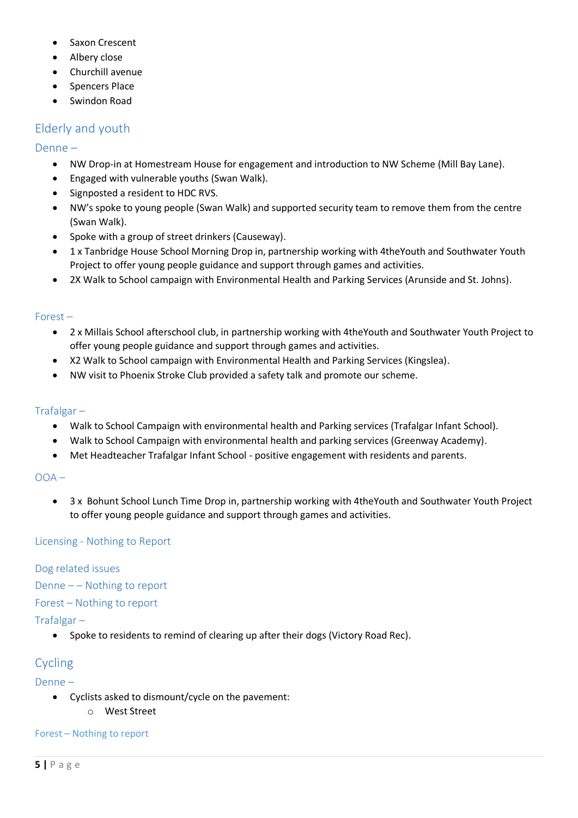- Saxon Crescent
- Albery close
- Churchill avenue
- Spencers Place
- Swindon Road

# Elderly and youth

#### Denne –

- NW Drop-in at Homestream House for engagement and introduction to NW Scheme (Mill Bay Lane).
- Engaged with vulnerable youths (Swan Walk).
- Signposted a resident to HDC RVS.
- NW's spoke to young people (Swan Walk) and supported security team to remove them from the centre (Swan Walk).
- Spoke with a group of street drinkers (Causeway).
- 1 x Tanbridge House School Morning Drop in, partnership working with 4theYouth and Southwater Youth Project to offer young people guidance and support through games and activities.
- 2X Walk to School campaign with Environmental Health and Parking Services (Arunside and St. Johns).

#### Forest –

- 2 x Millais School afterschool club, in partnership working with 4theYouth and Southwater Youth Project to offer young people guidance and support through games and activities.
- X2 Walk to School campaign with Environmental Health and Parking Services (Kingslea).
- NW visit to Phoenix Stroke Club provided a safety talk and promote our scheme.

#### Trafalgar –

- Walk to School Campaign with environmental health and Parking services (Trafalgar Infant School).
- Walk to School Campaign with environmental health and parking services (Greenway Academy).
- Met Headteacher Trafalgar Infant School positive engagement with residents and parents.

#### $OOA -$

 3 x Bohunt School Lunch Time Drop in, partnership working with 4theYouth and Southwater Youth Project to offer young people guidance and support through games and activities.

#### Licensing - Nothing to Report

#### Dog related issues

Denne  $-$  – Nothing to report

Forest – Nothing to report

#### Trafalgar –

• Spoke to residents to remind of clearing up after their dogs (Victory Road Rec).

# Cycling

Denne –

- Cyclists asked to dismount/cycle on the pavement:
	- o West Street

#### Forest – Nothing to report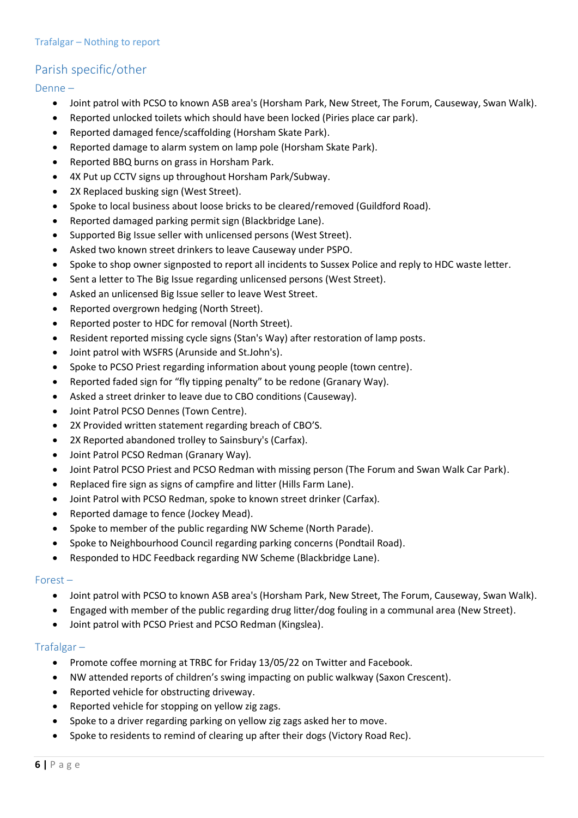# Parish specific/other

Denne –

- Joint patrol with PCSO to known ASB area's (Horsham Park, New Street, The Forum, Causeway, Swan Walk).
- Reported unlocked toilets which should have been locked (Piries place car park).
- Reported damaged fence/scaffolding (Horsham Skate Park).
- Reported damage to alarm system on lamp pole (Horsham Skate Park).
- Reported BBQ burns on grass in Horsham Park.
- 4X Put up CCTV signs up throughout Horsham Park/Subway.
- 2X Replaced busking sign (West Street).
- Spoke to local business about loose bricks to be cleared/removed (Guildford Road).
- Reported damaged parking permit sign (Blackbridge Lane).
- Supported Big Issue seller with unlicensed persons (West Street).
- Asked two known street drinkers to leave Causeway under PSPO.
- Spoke to shop owner signposted to report all incidents to Sussex Police and reply to HDC waste letter.
- Sent a letter to The Big Issue regarding unlicensed persons (West Street).
- Asked an unlicensed Big Issue seller to leave West Street.
- Reported overgrown hedging (North Street).
- Reported poster to HDC for removal (North Street).
- Resident reported missing cycle signs (Stan's Way) after restoration of lamp posts.
- Joint patrol with WSFRS (Arunside and St.John's).
- Spoke to PCSO Priest regarding information about young people (town centre).
- Reported faded sign for "fly tipping penalty" to be redone (Granary Way).
- Asked a street drinker to leave due to CBO conditions (Causeway).
- Joint Patrol PCSO Dennes (Town Centre).
- 2X Provided written statement regarding breach of CBO'S.
- 2X Reported abandoned trolley to Sainsbury's (Carfax).
- Joint Patrol PCSO Redman (Granary Way).
- Joint Patrol PCSO Priest and PCSO Redman with missing person (The Forum and Swan Walk Car Park).
- Replaced fire sign as signs of campfire and litter (Hills Farm Lane).
- Joint Patrol with PCSO Redman, spoke to known street drinker (Carfax).
- Reported damage to fence (Jockey Mead).
- Spoke to member of the public regarding NW Scheme (North Parade).
- Spoke to Neighbourhood Council regarding parking concerns (Pondtail Road).
- Responded to HDC Feedback regarding NW Scheme (Blackbridge Lane).

#### Forest –

- Joint patrol with PCSO to known ASB area's (Horsham Park, New Street, The Forum, Causeway, Swan Walk).
- Engaged with member of the public regarding drug litter/dog fouling in a communal area (New Street).
- Joint patrol with PCSO Priest and PCSO Redman (Kingslea).

#### Trafalgar –

- Promote coffee morning at TRBC for Friday 13/05/22 on Twitter and Facebook.
- NW attended reports of children's swing impacting on public walkway (Saxon Crescent).
- Reported vehicle for obstructing driveway.
- Reported vehicle for stopping on yellow zig zags.
- Spoke to a driver regarding parking on yellow zig zags asked her to move.
- Spoke to residents to remind of clearing up after their dogs (Victory Road Rec).